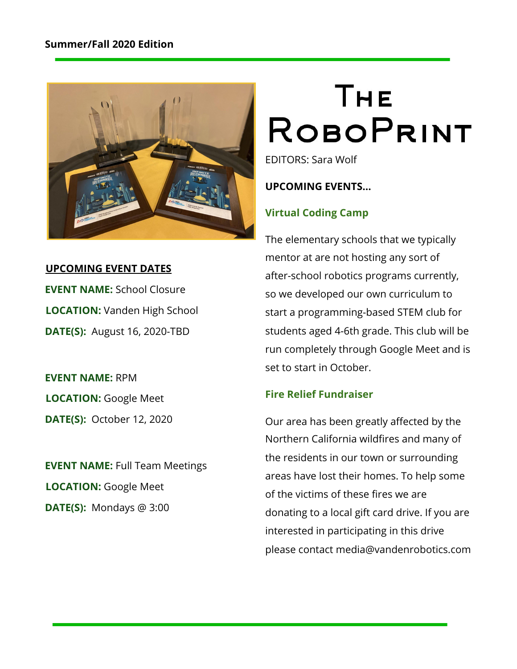

**UPCOMING EVENT DATES EVENT NAME:** School Closure **LOCATION:** Vanden High School **DATE(S):**  August 16, 2020-TBD

**EVENT NAME:** RPM **LOCATION:** Google Meet **DATE(S):**  October 12, 2020

**EVENT NAME:** Full Team Meetings **LOCATION:** Google Meet **DATE(S):**  Mondays @ 3:00

# Тне **ROBOPRINT**

EDITORS: Sara Wolf

**UPCOMING EVENTS…**

# **Virtual Coding Camp**

The elementary schools that we typically mentor at are not hosting any sort of after-school robotics programs currently, so we developed our own curriculum to start a programming-based STEM club for students aged 4-6th grade. This club will be run completely through Google Meet and is set to start in October.

# **Fire Relief Fundraiser**

Our area has been greatly affected by the Northern California wildfires and many of the residents in our town or surrounding areas have lost their homes. To help some of the victims of these fires we are donating to a local gift card drive. If you are interested in participating in this drive please contact media@vandenrobotics.com